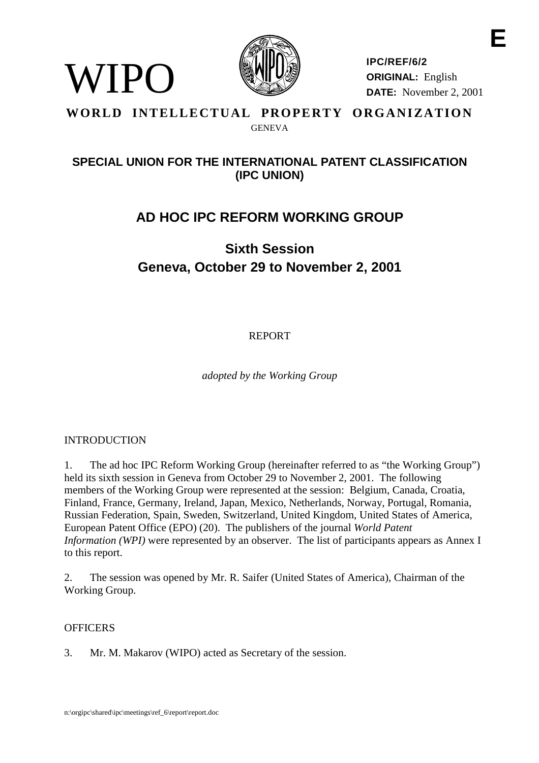

**IPC/REF/6/2 ORIGINAL:** English **DATE:** November 2, 2001

## **WORLD INTELLECTUAL PROPERTY ORGANIZATION** GENEVA

## **SPECIAL UNION FOR THE INTERNATIONAL PATENT CLASSIFICATION (IPC UNION)**

## **AD HOC IPC REFORM WORKING GROUP**

# **Sixth Session Geneva, October 29 to November 2, 2001**

REPORT

*adopted by the Working Group*

## INTRODUCTION

WIPO)

1. The ad hoc IPC Reform Working Group (hereinafter referred to as "the Working Group") held its sixth session in Geneva from October 29 to November 2, 2001. The following members of the Working Group were represented at the session: Belgium, Canada, Croatia, Finland, France, Germany, Ireland, Japan, Mexico, Netherlands, Norway, Portugal, Romania, Russian Federation, Spain, Sweden, Switzerland, United Kingdom, United States of America, European Patent Office (EPO) (20). The publishers of the journal *World Patent Information (WPI)* were represented by an observer. The list of participants appears as Annex I to this report.

2. The session was opened by Mr. R. Saifer (United States of America), Chairman of the Working Group.

## **OFFICERS**

3. Mr. M. Makarov (WIPO) acted as Secretary of the session.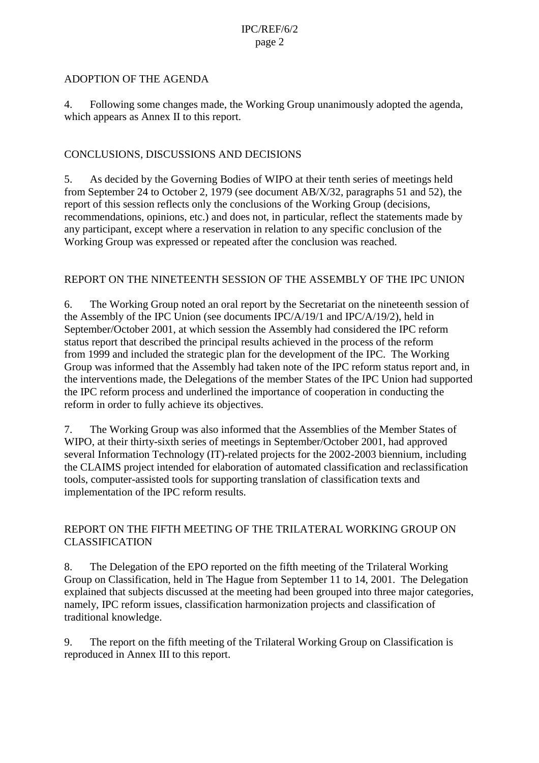#### ADOPTION OF THE AGENDA

4. Following some changes made, the Working Group unanimously adopted the agenda, which appears as Annex II to this report.

### CONCLUSIONS, DISCUSSIONS AND DECISIONS

5. As decided by the Governing Bodies of WIPO at their tenth series of meetings held from September 24 to October 2, 1979 (see document AB/X/32, paragraphs 51 and 52), the report of this session reflects only the conclusions of the Working Group (decisions, recommendations, opinions, etc.) and does not, in particular, reflect the statements made by any participant, except where a reservation in relation to any specific conclusion of the Working Group was expressed or repeated after the conclusion was reached.

#### REPORT ON THE NINETEENTH SESSION OF THE ASSEMBLY OF THE IPC UNION

6. The Working Group noted an oral report by the Secretariat on the nineteenth session of the Assembly of the IPC Union (see documents IPC/A/19/1 and IPC/A/19/2), held in September/October 2001, at which session the Assembly had considered the IPC reform status report that described the principal results achieved in the process of the reform from 1999 and included the strategic plan for the development of the IPC. The Working Group was informed that the Assembly had taken note of the IPC reform status report and, in the interventions made, the Delegations of the member States of the IPC Union had supported the IPC reform process and underlined the importance of cooperation in conducting the reform in order to fully achieve its objectives.

7. The Working Group was also informed that the Assemblies of the Member States of WIPO, at their thirty-sixth series of meetings in September/October 2001, had approved several Information Technology (IT)-related projects for the 2002-2003 biennium, including the CLAIMS project intended for elaboration of automated classification and reclassification tools, computer-assisted tools for supporting translation of classification texts and implementation of the IPC reform results.

## REPORT ON THE FIFTH MEETING OF THE TRILATERAL WORKING GROUP ON CLASSIFICATION

8. The Delegation of the EPO reported on the fifth meeting of the Trilateral Working Group on Classification, held in The Hague from September 11 to 14, 2001. The Delegation explained that subjects discussed at the meeting had been grouped into three major categories, namely, IPC reform issues, classification harmonization projects and classification of traditional knowledge.

9. The report on the fifth meeting of the Trilateral Working Group on Classification is reproduced in Annex III to this report.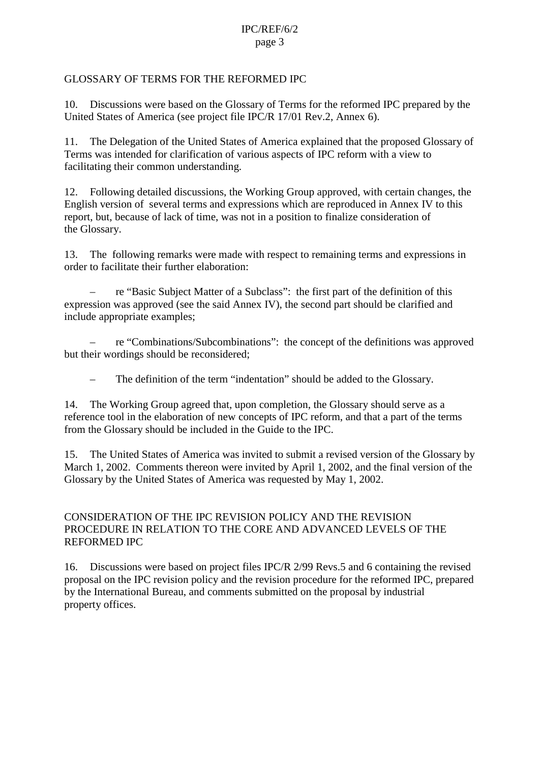## GLOSSARY OF TERMS FOR THE REFORMED IPC

10. Discussions were based on the Glossary of Terms for the reformed IPC prepared by the United States of America (see project file IPC/R 17/01 Rev.2, Annex 6).

11. The Delegation of the United States of America explained that the proposed Glossary of Terms was intended for clarification of various aspects of IPC reform with a view to facilitating their common understanding.

12. Following detailed discussions, the Working Group approved, with certain changes, the English version of several terms and expressions which are reproduced in Annex IV to this report, but, because of lack of time, was not in a position to finalize consideration of the Glossary.

13. The following remarks were made with respect to remaining terms and expressions in order to facilitate their further elaboration:

– re "Basic Subject Matter of a Subclass": the first part of the definition of this expression was approved (see the said Annex IV), the second part should be clarified and include appropriate examples;

– re "Combinations/Subcombinations": the concept of the definitions was approved but their wordings should be reconsidered;

The definition of the term "indentation" should be added to the Glossary.

14. The Working Group agreed that, upon completion, the Glossary should serve as a reference tool in the elaboration of new concepts of IPC reform, and that a part of the terms from the Glossary should be included in the Guide to the IPC.

15. The United States of America was invited to submit a revised version of the Glossary by March 1, 2002. Comments thereon were invited by April 1, 2002, and the final version of the Glossary by the United States of America was requested by May 1, 2002.

## CONSIDERATION OF THE IPC REVISION POLICY AND THE REVISION PROCEDURE IN RELATION TO THE CORE AND ADVANCED LEVELS OF THE REFORMED IPC

16. Discussions were based on project files IPC/R 2/99 Revs.5 and 6 containing the revised proposal on the IPC revision policy and the revision procedure for the reformed IPC, prepared by the International Bureau, and comments submitted on the proposal by industrial property offices.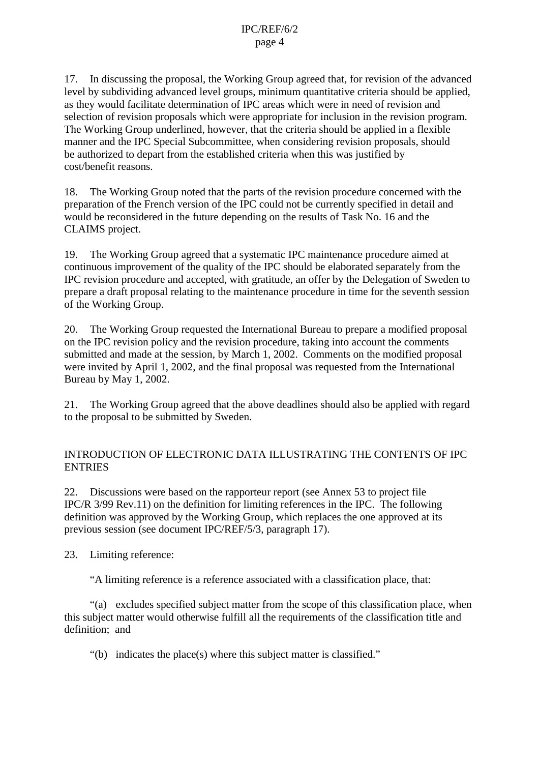17. In discussing the proposal, the Working Group agreed that, for revision of the advanced level by subdividing advanced level groups, minimum quantitative criteria should be applied, as they would facilitate determination of IPC areas which were in need of revision and selection of revision proposals which were appropriate for inclusion in the revision program. The Working Group underlined, however, that the criteria should be applied in a flexible manner and the IPC Special Subcommittee, when considering revision proposals, should be authorized to depart from the established criteria when this was justified by cost/benefit reasons.

18. The Working Group noted that the parts of the revision procedure concerned with the preparation of the French version of the IPC could not be currently specified in detail and would be reconsidered in the future depending on the results of Task No. 16 and the CLAIMS project.

19. The Working Group agreed that a systematic IPC maintenance procedure aimed at continuous improvement of the quality of the IPC should be elaborated separately from the IPC revision procedure and accepted, with gratitude, an offer by the Delegation of Sweden to prepare a draft proposal relating to the maintenance procedure in time for the seventh session of the Working Group.

20. The Working Group requested the International Bureau to prepare a modified proposal on the IPC revision policy and the revision procedure, taking into account the comments submitted and made at the session, by March 1, 2002. Comments on the modified proposal were invited by April 1, 2002, and the final proposal was requested from the International Bureau by May 1, 2002.

21. The Working Group agreed that the above deadlines should also be applied with regard to the proposal to be submitted by Sweden.

## INTRODUCTION OF ELECTRONIC DATA ILLUSTRATING THE CONTENTS OF IPC **ENTRIES**

22. Discussions were based on the rapporteur report (see Annex 53 to project file IPC/R 3/99 Rev.11) on the definition for limiting references in the IPC. The following definition was approved by the Working Group, which replaces the one approved at its previous session (see document IPC/REF/5/3, paragraph 17).

23. Limiting reference:

"A limiting reference is a reference associated with a classification place, that:

"(a) excludes specified subject matter from the scope of this classification place, when this subject matter would otherwise fulfill all the requirements of the classification title and definition; and

"(b) indicates the place(s) where this subject matter is classified."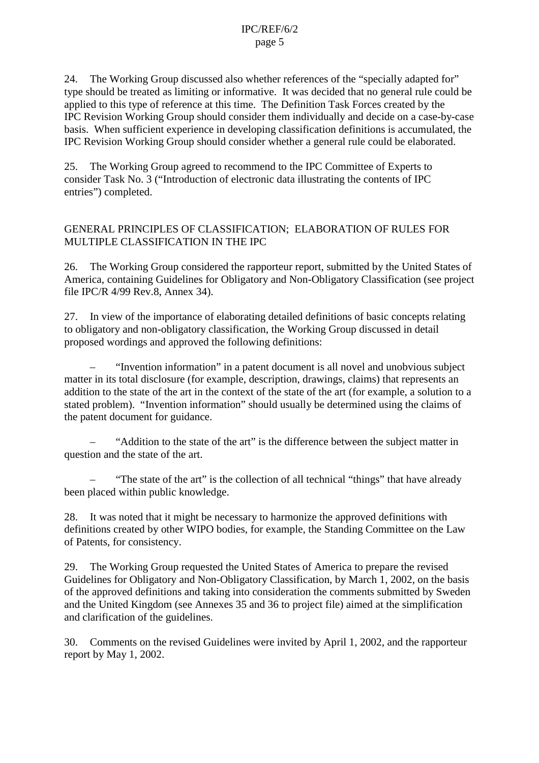24. The Working Group discussed also whether references of the "specially adapted for" type should be treated as limiting or informative. It was decided that no general rule could be applied to this type of reference at this time. The Definition Task Forces created by the IPC Revision Working Group should consider them individually and decide on a case-by-case basis. When sufficient experience in developing classification definitions is accumulated, the IPC Revision Working Group should consider whether a general rule could be elaborated.

25. The Working Group agreed to recommend to the IPC Committee of Experts to consider Task No. 3 ("Introduction of electronic data illustrating the contents of IPC entries") completed.

### GENERAL PRINCIPLES OF CLASSIFICATION; ELABORATION OF RULES FOR MULTIPLE CLASSIFICATION IN THE IPC

26. The Working Group considered the rapporteur report, submitted by the United States of America, containing Guidelines for Obligatory and Non-Obligatory Classification (see project file IPC/R 4/99 Rev.8, Annex 34).

27. In view of the importance of elaborating detailed definitions of basic concepts relating to obligatory and non-obligatory classification, the Working Group discussed in detail proposed wordings and approved the following definitions:

– "Invention information" in a patent document is all novel and unobvious subject matter in its total disclosure (for example, description, drawings, claims) that represents an addition to the state of the art in the context of the state of the art (for example, a solution to a stated problem). "Invention information" should usually be determined using the claims of the patent document for guidance.

– "Addition to the state of the art" is the difference between the subject matter in question and the state of the art.

"The state of the art" is the collection of all technical "things" that have already been placed within public knowledge.

28. It was noted that it might be necessary to harmonize the approved definitions with definitions created by other WIPO bodies, for example, the Standing Committee on the Law of Patents, for consistency.

29. The Working Group requested the United States of America to prepare the revised Guidelines for Obligatory and Non-Obligatory Classification, by March 1, 2002, on the basis of the approved definitions and taking into consideration the comments submitted by Sweden and the United Kingdom (see Annexes 35 and 36 to project file) aimed at the simplification and clarification of the guidelines.

30. Comments on the revised Guidelines were invited by April 1, 2002, and the rapporteur report by May 1, 2002.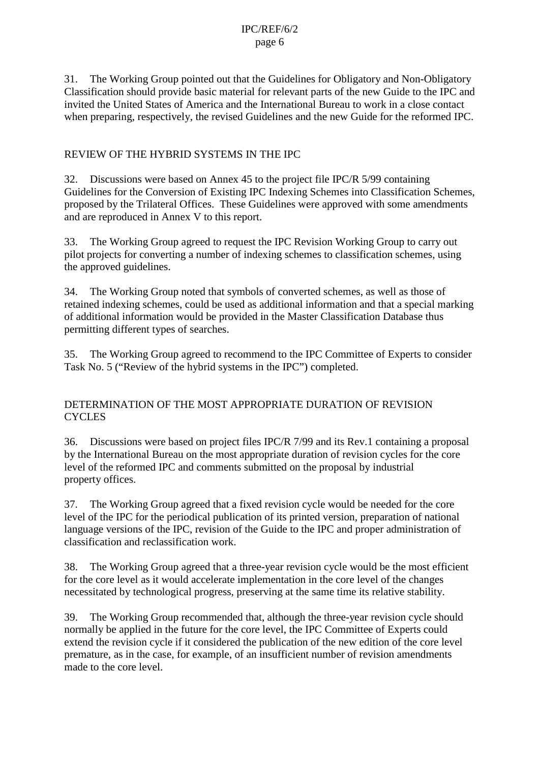31. The Working Group pointed out that the Guidelines for Obligatory and Non-Obligatory Classification should provide basic material for relevant parts of the new Guide to the IPC and invited the United States of America and the International Bureau to work in a close contact when preparing, respectively, the revised Guidelines and the new Guide for the reformed IPC.

## REVIEW OF THE HYBRID SYSTEMS IN THE IPC

32. Discussions were based on Annex 45 to the project file IPC/R 5/99 containing Guidelines for the Conversion of Existing IPC Indexing Schemes into Classification Schemes, proposed by the Trilateral Offices. These Guidelines were approved with some amendments and are reproduced in Annex V to this report.

33. The Working Group agreed to request the IPC Revision Working Group to carry out pilot projects for converting a number of indexing schemes to classification schemes, using the approved guidelines.

34. The Working Group noted that symbols of converted schemes, as well as those of retained indexing schemes, could be used as additional information and that a special marking of additional information would be provided in the Master Classification Database thus permitting different types of searches.

35. The Working Group agreed to recommend to the IPC Committee of Experts to consider Task No. 5 ("Review of the hybrid systems in the IPC") completed.

## DETERMINATION OF THE MOST APPROPRIATE DURATION OF REVISION **CYCLES**

36. Discussions were based on project files IPC/R 7/99 and its Rev.1 containing a proposal by the International Bureau on the most appropriate duration of revision cycles for the core level of the reformed IPC and comments submitted on the proposal by industrial property offices.

37. The Working Group agreed that a fixed revision cycle would be needed for the core level of the IPC for the periodical publication of its printed version, preparation of national language versions of the IPC, revision of the Guide to the IPC and proper administration of classification and reclassification work.

38. The Working Group agreed that a three-year revision cycle would be the most efficient for the core level as it would accelerate implementation in the core level of the changes necessitated by technological progress, preserving at the same time its relative stability.

39. The Working Group recommended that, although the three-year revision cycle should normally be applied in the future for the core level, the IPC Committee of Experts could extend the revision cycle if it considered the publication of the new edition of the core level premature, as in the case, for example, of an insufficient number of revision amendments made to the core level.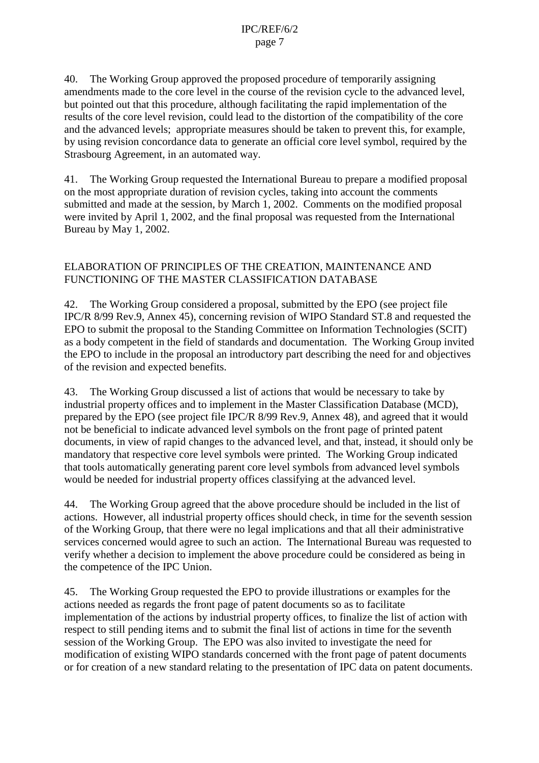40. The Working Group approved the proposed procedure of temporarily assigning amendments made to the core level in the course of the revision cycle to the advanced level, but pointed out that this procedure, although facilitating the rapid implementation of the results of the core level revision, could lead to the distortion of the compatibility of the core and the advanced levels; appropriate measures should be taken to prevent this, for example, by using revision concordance data to generate an official core level symbol, required by the Strasbourg Agreement, in an automated way.

41. The Working Group requested the International Bureau to prepare a modified proposal on the most appropriate duration of revision cycles, taking into account the comments submitted and made at the session, by March 1, 2002. Comments on the modified proposal were invited by April 1, 2002, and the final proposal was requested from the International Bureau by May 1, 2002.

## ELABORATION OF PRINCIPLES OF THE CREATION, MAINTENANCE AND FUNCTIONING OF THE MASTER CLASSIFICATION DATABASE

42. The Working Group considered a proposal, submitted by the EPO (see project file IPC/R 8/99 Rev.9, Annex 45), concerning revision of WIPO Standard ST.8 and requested the EPO to submit the proposal to the Standing Committee on Information Technologies (SCIT) as a body competent in the field of standards and documentation. The Working Group invited the EPO to include in the proposal an introductory part describing the need for and objectives of the revision and expected benefits.

43. The Working Group discussed a list of actions that would be necessary to take by industrial property offices and to implement in the Master Classification Database (MCD), prepared by the EPO (see project file IPC/R 8/99 Rev.9, Annex 48), and agreed that it would not be beneficial to indicate advanced level symbols on the front page of printed patent documents, in view of rapid changes to the advanced level, and that, instead, it should only be mandatory that respective core level symbols were printed. The Working Group indicated that tools automatically generating parent core level symbols from advanced level symbols would be needed for industrial property offices classifying at the advanced level.

44. The Working Group agreed that the above procedure should be included in the list of actions. However, all industrial property offices should check, in time for the seventh session of the Working Group, that there were no legal implications and that all their administrative services concerned would agree to such an action. The International Bureau was requested to verify whether a decision to implement the above procedure could be considered as being in the competence of the IPC Union.

45. The Working Group requested the EPO to provide illustrations or examples for the actions needed as regards the front page of patent documents so as to facilitate implementation of the actions by industrial property offices, to finalize the list of action with respect to still pending items and to submit the final list of actions in time for the seventh session of the Working Group. The EPO was also invited to investigate the need for modification of existing WIPO standards concerned with the front page of patent documents or for creation of a new standard relating to the presentation of IPC data on patent documents.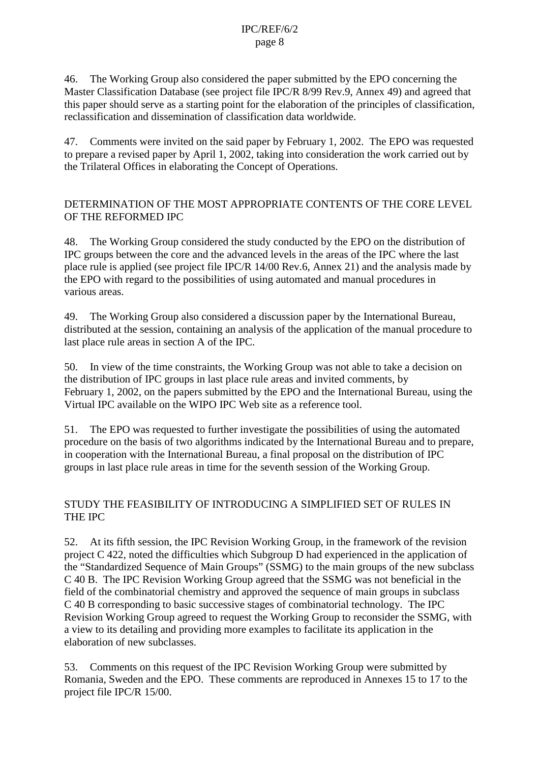46. The Working Group also considered the paper submitted by the EPO concerning the Master Classification Database (see project file IPC/R 8/99 Rev.9, Annex 49) and agreed that this paper should serve as a starting point for the elaboration of the principles of classification, reclassification and dissemination of classification data worldwide.

47. Comments were invited on the said paper by February 1, 2002. The EPO was requested to prepare a revised paper by April 1, 2002, taking into consideration the work carried out by the Trilateral Offices in elaborating the Concept of Operations.

## DETERMINATION OF THE MOST APPROPRIATE CONTENTS OF THE CORE LEVEL OF THE REFORMED IPC

48. The Working Group considered the study conducted by the EPO on the distribution of IPC groups between the core and the advanced levels in the areas of the IPC where the last place rule is applied (see project file IPC/R 14/00 Rev.6, Annex 21) and the analysis made by the EPO with regard to the possibilities of using automated and manual procedures in various areas.

49. The Working Group also considered a discussion paper by the International Bureau, distributed at the session, containing an analysis of the application of the manual procedure to last place rule areas in section A of the IPC.

50. In view of the time constraints, the Working Group was not able to take a decision on the distribution of IPC groups in last place rule areas and invited comments, by February 1, 2002, on the papers submitted by the EPO and the International Bureau, using the Virtual IPC available on the WIPO IPC Web site as a reference tool.

51. The EPO was requested to further investigate the possibilities of using the automated procedure on the basis of two algorithms indicated by the International Bureau and to prepare, in cooperation with the International Bureau, a final proposal on the distribution of IPC groups in last place rule areas in time for the seventh session of the Working Group.

## STUDY THE FEASIBILITY OF INTRODUCING A SIMPLIFIED SET OF RULES IN THE IPC

52. At its fifth session, the IPC Revision Working Group, in the framework of the revision project C 422, noted the difficulties which Subgroup D had experienced in the application of the "Standardized Sequence of Main Groups" (SSMG) to the main groups of the new subclass C 40 B. The IPC Revision Working Group agreed that the SSMG was not beneficial in the field of the combinatorial chemistry and approved the sequence of main groups in subclass C 40 B corresponding to basic successive stages of combinatorial technology. The IPC Revision Working Group agreed to request the Working Group to reconsider the SSMG, with a view to its detailing and providing more examples to facilitate its application in the elaboration of new subclasses.

53. Comments on this request of the IPC Revision Working Group were submitted by Romania, Sweden and the EPO. These comments are reproduced in Annexes 15 to 17 to the project file IPC/R 15/00.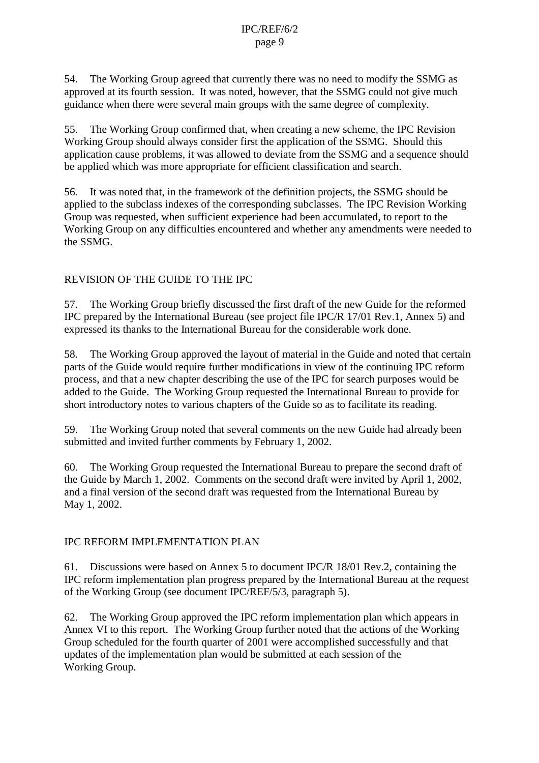54. The Working Group agreed that currently there was no need to modify the SSMG as approved at its fourth session. It was noted, however, that the SSMG could not give much guidance when there were several main groups with the same degree of complexity.

55. The Working Group confirmed that, when creating a new scheme, the IPC Revision Working Group should always consider first the application of the SSMG. Should this application cause problems, it was allowed to deviate from the SSMG and a sequence should be applied which was more appropriate for efficient classification and search.

56. It was noted that, in the framework of the definition projects, the SSMG should be applied to the subclass indexes of the corresponding subclasses. The IPC Revision Working Group was requested, when sufficient experience had been accumulated, to report to the Working Group on any difficulties encountered and whether any amendments were needed to the SSMG.

## REVISION OF THE GUIDE TO THE IPC

57. The Working Group briefly discussed the first draft of the new Guide for the reformed IPC prepared by the International Bureau (see project file IPC/R 17/01 Rev.1, Annex 5) and expressed its thanks to the International Bureau for the considerable work done.

58. The Working Group approved the layout of material in the Guide and noted that certain parts of the Guide would require further modifications in view of the continuing IPC reform process, and that a new chapter describing the use of the IPC for search purposes would be added to the Guide. The Working Group requested the International Bureau to provide for short introductory notes to various chapters of the Guide so as to facilitate its reading.

59. The Working Group noted that several comments on the new Guide had already been submitted and invited further comments by February 1, 2002.

60. The Working Group requested the International Bureau to prepare the second draft of the Guide by March 1, 2002. Comments on the second draft were invited by April 1, 2002, and a final version of the second draft was requested from the International Bureau by May 1, 2002.

## IPC REFORM IMPLEMENTATION PLAN

61. Discussions were based on Annex 5 to document IPC/R 18/01 Rev.2, containing the IPC reform implementation plan progress prepared by the International Bureau at the request of the Working Group (see document IPC/REF/5/3, paragraph 5).

62. The Working Group approved the IPC reform implementation plan which appears in Annex VI to this report. The Working Group further noted that the actions of the Working Group scheduled for the fourth quarter of 2001 were accomplished successfully and that updates of the implementation plan would be submitted at each session of the Working Group.